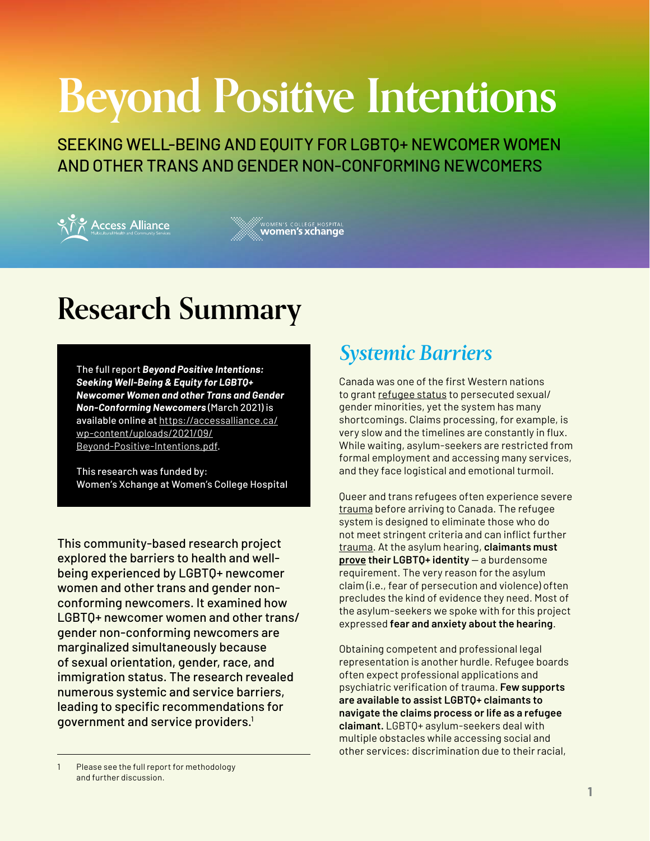# **Beyond Positive Intentions**

SEEKING WELL-BEING AND EQUITY FOR LGBTQ+ NEWCOMER WOMEN AND OTHER TRANS AND GENDER NON-CONFORMING NEWCOMERS



WOMEN'S COLLEGE HOSPITAL<br>**WOMEN'S XChange** 

## **Research Summary**

The full report *Beyond Positive Intentions: Seeking Well-Being & Equity for LGBTQ+ Newcomer Women and other Trans and Gender Non-Conforming Newcomers* (March 2021) is available online at [https://accessalliance.ca/](https://accessalliance.ca/wp-content/uploads/2021/09/Beyond-Positive-Intentions.pdf) [wp-content/uploads/2021/09/](https://accessalliance.ca/wp-content/uploads/2021/09/Beyond-Positive-Intentions.pdf) [Beyond-Positive-Intentions.pdf](https://accessalliance.ca/wp-content/uploads/2021/09/Beyond-Positive-Intentions.pdf).

This research was funded by: Women's Xchange at Women's College Hospital

This community-based research project explored the barriers to health and wellbeing experienced by LGBTQ+ newcomer women and other trans and gender nonconforming newcomers. It examined how LGBTQ+ newcomer women and other trans/ gender non-conforming newcomers are marginalized simultaneously because of sexual orientation, gender, race, and immigration status. The research revealed numerous systemic and service barriers, leading to specific recommendations for government and service providers.1

## *Systemic Barriers*

Canada was one of the first Western nations to grant [refugee status](https://www.thecanadianencyclopedia.ca/en/article/lgbtq2-refugees-in-canada) to persecuted sexual/ gender minorities, yet the system has many shortcomings. Claims processing, for example, is very slow and the timelines are constantly in flux. While waiting, asylum-seekers are restricted from formal employment and accessing many services, and they face logistical and emotional turmoil.

Queer and trans refugees often experience severe [trauma](https://www.theglobeandmail.com/canada/article-in-toronto-asylum-seekers-hope-to-carve-out-a-new-home/) before arriving to Canada. The refugee system is designed to eliminate those who do not meet stringent criteria and can inflict further [trauma.](https://www.thecanadianencyclopedia.ca/en/article/lgbtq2-refugees-in-canada) At the asylum hearing, **claimants must [prove](https://www.theglobeandmail.com/life/relationships/after-lifetime-of-hiding-gay-refugees-to-canada-expected-to-prove-theiridentity/article34858343/) their LGBTQ+ identity** — a burdensome requirement. The very reason for the asylum claim (i.e., fear of persecution and violence) often precludes the kind of evidence they need. Most of the asylum-seekers we spoke with for this project expressed **fear and anxiety about the hearing**.

Obtaining competent and professional legal representation is another hurdle. Refugee boards often expect professional applications and psychiatric verification of trauma. **Few supports are available to assist LGBTQ+ claimants to navigate the claims process or life as a refugee claimant.** LGBTQ+ asylum-seekers deal with multiple obstacles while accessing social and other services: discrimination due to their racial,

Please see the full report for methodology and further discussion.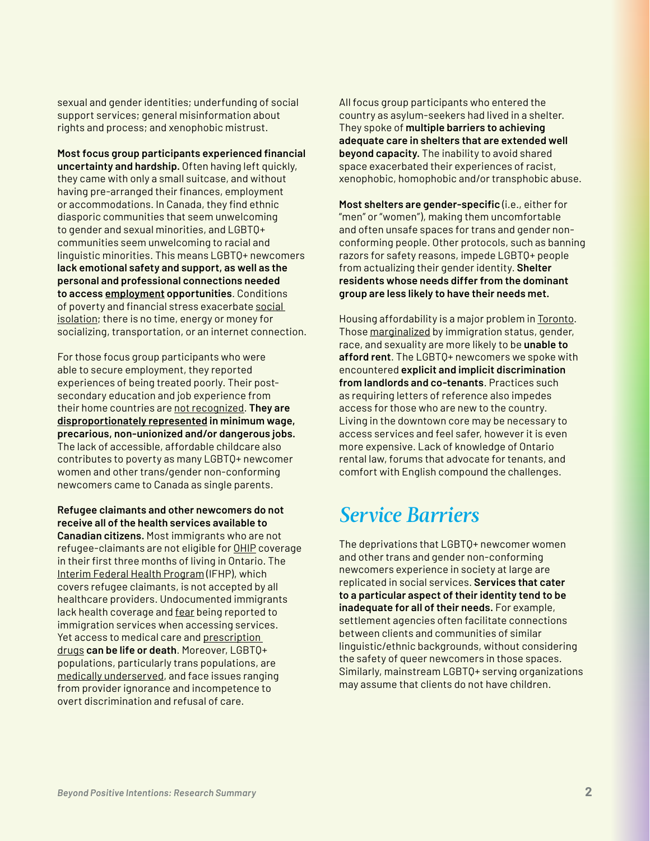sexual and gender identities; underfunding of social support services; general misinformation about rights and process; and xenophobic mistrust.

**Most focus group participants experienced financial uncertainty and hardship.** Often having left quickly, they came with only a small suitcase, and without having pre-arranged their finances, employment or accommodations. In Canada, they find ethnic diasporic communities that seem unwelcoming to gender and sexual minorities, and LGBTQ+ communities seem unwelcoming to racial and linguistic minorities. This means LGBTQ+ newcomers **lack emotional safety and support, as well as the personal and professional connections needed to access [employment](https://www.businessinsider.com/at-least-70-of-jobs-are-not-even-listed-heres-how-to-up-your-chances-of-getting-a-great-new-gig-2017-4) opportunities**. Conditions of poverty and financial stress exacerbate [social](https://www.socialconnectedness.org/the-vicious-cycle-of-poverty-and-social-isolation/)  [isolation;](https://www.socialconnectedness.org/the-vicious-cycle-of-poverty-and-social-isolation/) there is no time, energy or money for socializing, transportation, or an internet connection.

For those focus group participants who were able to secure employment, they reported experiences of being treated poorly. Their postsecondary education and job experience from their home countries are [not recognized](http://www.ohrc.on.ca/en/policy-removing-%E2%80%9Ccanadian-experience%E2%80%9D-barrier). **They are [disproportionately represented](https://www.unifor.org/sites/default/files/legacy/documents/document/workingwomenworkingpoor_letter_web.pdf) in minimum wage, precarious, non-unionized and/or dangerous jobs.** The lack of accessible, affordable childcare also contributes to poverty as many LGBTQ+ newcomer women and other trans/gender non-conforming newcomers came to Canada as single parents.

**Refugee claimants and other newcomers do not receive all of the health services available to Canadian citizens.** Most immigrants who are not refugee-claimants are not eligible for [OHIP](https://settlement.org/ontario/health/ohip-and-health-insurance/ontario-health-insurance-plan-ohip/what-is-the-3-month-waiting-period-for-ohip/#:~:text=You%20have%20to%20wait%20up,eligible%20(after%203%20months).) coverage in their first three months of living in Ontario. The [Interim Federal Health Program](https://www.canada.ca/en/immigration-refugees-citizenship/services/refugees/help-within-canada/health-care/interim-federal-health-program/coverage-summary.html) (IFHP), which covers refugee claimants, is not accepted by all healthcare providers. Undocumented immigrants lack health coverage and [fear](https://www.wellesleyinstitute.com/wp-content/uploads/2018/02/Sanctuary-City-Opportunities-for-Health-Equity.pdf) being reported to immigration services when accessing services. Yet access to medical care and [prescription](https://globalnews.ca/news/4178908/deaths-pharmacare-prescription-drug-costs/)  [drugs](https://globalnews.ca/news/4178908/deaths-pharmacare-prescription-drug-costs/) **can be life or death**. Moreover, LGBTQ+ populations, particularly trans populations, are [medically underserved](https://transpulsecanada.ca/results/report-1/), and face issues ranging from provider ignorance and incompetence to overt discrimination and refusal of care.

All focus group participants who entered the country as asylum-seekers had lived in a shelter. They spoke of **multiple barriers to achieving adequate care in shelters that are extended well beyond capacity.** The inability to avoid shared space exacerbated their experiences of racist, xenophobic, homophobic and/or transphobic abuse.

**Most shelters are gender-specific** (i.e., either for "men" or "women"), making them uncomfortable and often unsafe spaces for trans and gender nonconforming people. Other protocols, such as banning razors for safety reasons, impede LGBTQ+ people from actualizing their gender identity. **Shelter residents whose needs differ from the dominant group are less likely to have their needs met.**

Housing affordability is a major problem in [Toronto.](https://storeys.com/toronto-least-affordable-cities-world-2020/) Those [marginalized](https://ipolitics.ca/2020/09/04/female-racialized-and-young-canadians-less-likely-to-benefit-from-jobs-increase/) by immigration status, gender, race, and sexuality are more likely to be **unable to afford rent**. The LGBTQ+ newcomers we spoke with encountered **explicit and implicit discrimination from landlords and co-tenants**. Practices such as requiring letters of reference also impedes access for those who are new to the country. Living in the downtown core may be necessary to access services and feel safer, however it is even more expensive. Lack of knowledge of Ontario rental law, forums that advocate for tenants, and comfort with English compound the challenges.

## *Service Barriers*

The deprivations that LGBTQ+ newcomer women and other trans and gender non-conforming newcomers experience in society at large are replicated in social services. **Services that cater to a particular aspect of their identity tend to be inadequate for all of their needs.** For example, settlement agencies often facilitate connections between clients and communities of similar linguistic/ethnic backgrounds, without considering the safety of queer newcomers in those spaces. Similarly, mainstream LGBTQ+ serving organizations may assume that clients do not have children.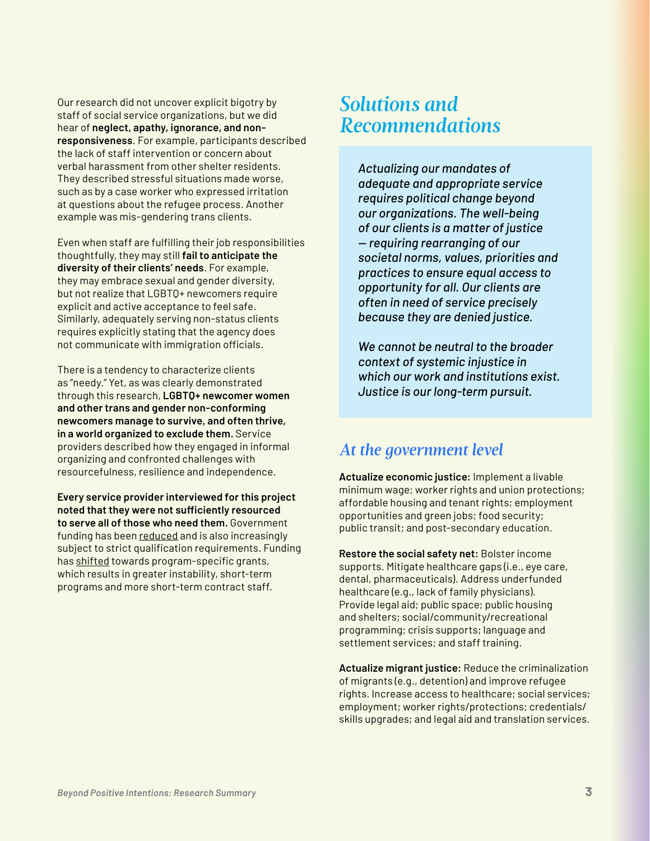Our research did not uncover explicit bigotry by staff of social service organizations, but we did hear of **neglect, apathy, ignorance, and nonresponsiveness**. For example, participants described the lack of staff intervention or concern about verbal harassment from other shelter residents. They described stressful situations made worse, such as by a case worker who expressed irritation at questions about the refugee process. Another example was mis-gendering trans clients.

Even when staff are fulfilling their job responsibilities thoughtfully, they may still **fail to anticipate the diversity of their clients' needs**. For example, they may embrace sexual and gender diversity, but not realize that LGBTQ+ newcomers require explicit and active acceptance to feel safe. Similarly, adequately serving non-status clients requires explicitly stating that the agency does not communicate with immigration officials.

There is a tendency to characterize clients as "needy." Yet, as was clearly demonstrated through this research, **LGBTQ+ newcomer women and other trans and gender non-conforming newcomers manage to survive, and often thrive, in a world organized to exclude them.** Service providers described how they engaged in informal organizing and confronted challenges with resourcefulness, resilience and independence.

**Every service provider interviewed for this project noted that they were not sufficiently resourced to serve all of those who need them.** Government funding has been [reduced](https://www.policyalternatives.ca/sites/default/files/uploads/publications/National Office/2020/03/AFB 2020.pdf) and is also increasingly subject to strict qualification requirements. Funding has [shifted](https://theonn.ca/our-work/our-financing/government-investment-funding-reform/) towards program-specific grants, which results in greater instability, short-term programs and more short-term contract staff.

## *Solutions and Recommendations*

*Actualizing our mandates of adequate and appropriate service requires political change beyond our organizations. The well-being of our clients is a matter of justice — requiring rearranging of our societal norms, values, priorities and practices to ensure equal access to opportunity for all. Our clients are often in need of service precisely because they are denied justice.* 

*We cannot be neutral to the broader context of systemic injustice in which our work and institutions exist. Justice is our long-term pursuit.*

## *At the government level*

**Actualize economic justice:** Implement a livable minimum wage; worker rights and union protections; affordable housing and tenant rights; employment opportunities and green jobs; food security; public transit; and post-secondary education.

**Restore the social safety net:** Bolster income supports. Mitigate healthcare gaps (i.e., eye care, dental, pharmaceuticals). Address underfunded healthcare (e.g., lack of family physicians). Provide legal aid; public space; public housing and shelters; social/community/recreational programming; crisis supports; language and settlement services; and staff training.

**Actualize migrant justice:** Reduce the criminalization of migrants (e.g., detention) and improve refugee rights. Increase access to healthcare; social services; employment; worker rights/protections; credentials/ skills upgrades; and legal aid and translation services.